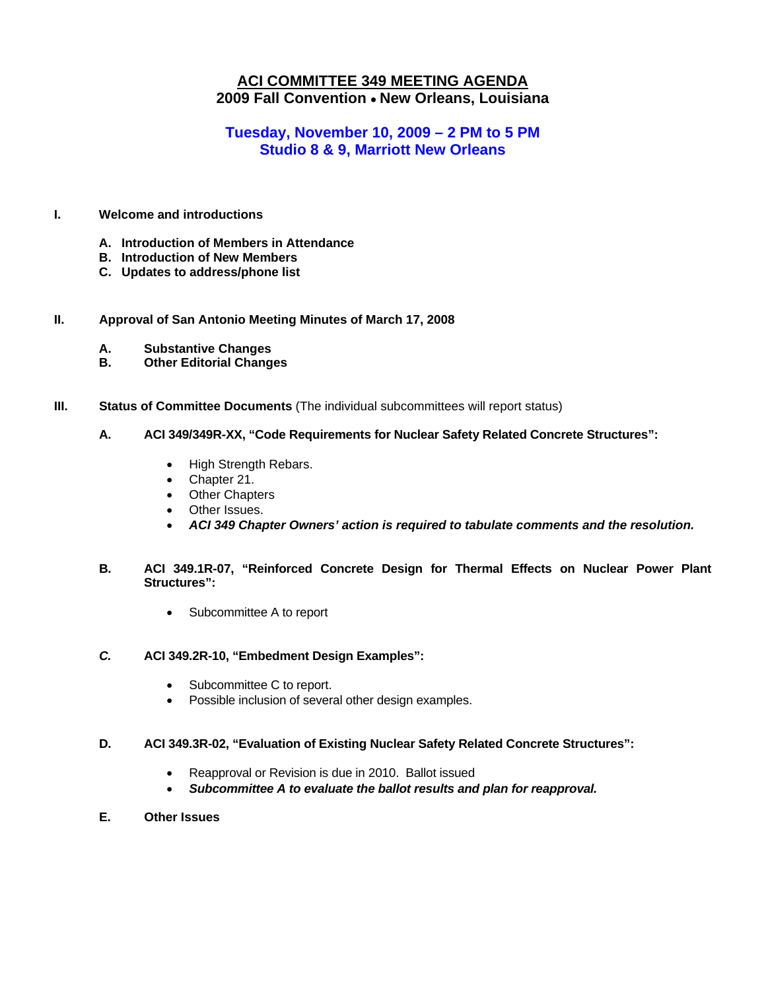## **ACI COMMITTEE 349 MEETING AGENDA 2009 Fall Convention** • **New Orleans, Louisiana**

## **Tuesday, November 10, 2009 – 2 PM to 5 PM Studio 8 & 9, Marriott New Orleans**

## **I. Welcome and introductions**

- **A. Introduction of Members in Attendance**
- **B. Introduction of New Members**
- **C. Updates to address/phone list**

### **II. Approval of San Antonio Meeting Minutes of March 17, 2008**

- **A. Substantive Changes**
- **B. Other Editorial Changes**
- **III.** Status of Committee Documents (The individual subcommittees will report status)

## **A. ACI 349/349R-XX, "Code Requirements for Nuclear Safety Related Concrete Structures":**

- High Strength Rebars.
- Chapter 21.
- Other Chapters
- Other Issues.
- *ACI 349 Chapter Owners' action is required to tabulate comments and the resolution.*
- **B. ACI 349.1R-07, "Reinforced Concrete Design for Thermal Effects on Nuclear Power Plant Structures":** 
	- Subcommittee A to report

### *C.* **ACI 349.2R-10, "Embedment Design Examples":**

- Subcommittee C to report.
- Possible inclusion of several other design examples.

#### **D. ACI 349.3R-02, "Evaluation of Existing Nuclear Safety Related Concrete Structures":**

- Reapproval or Revision is due in 2010. Ballot issued
- *Subcommittee A to evaluate the ballot results and plan for reapproval.*
- **E. Other Issues**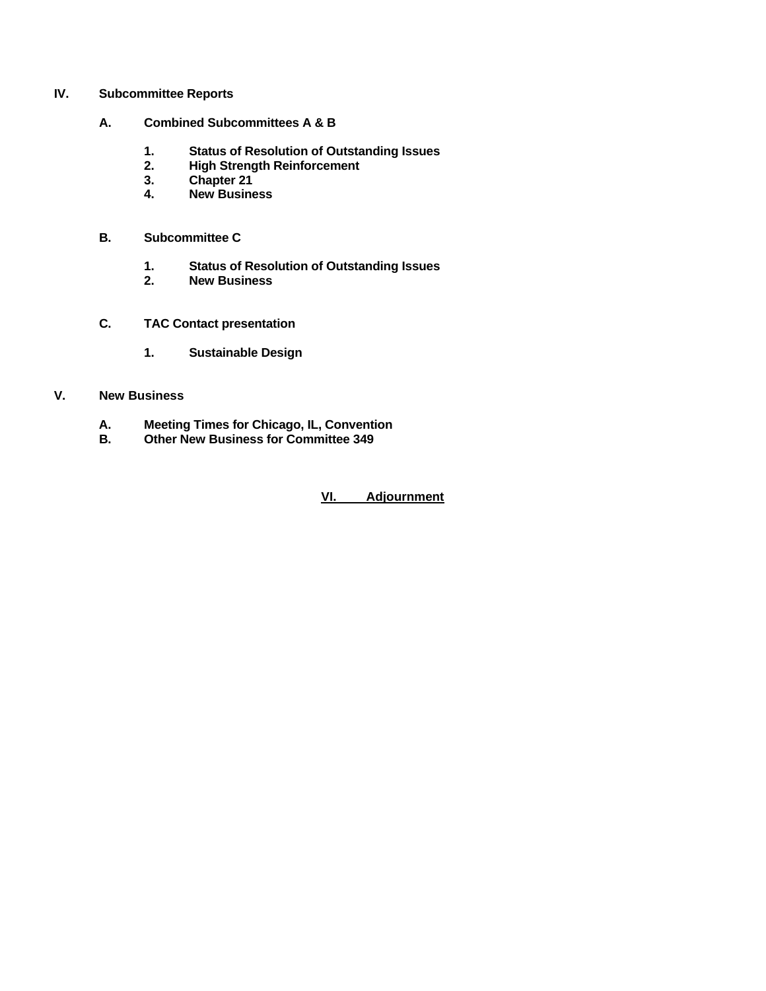### **IV. Subcommittee Reports**

- **A. Combined Subcommittees A & B** 
	- **1. Status of Resolution of Outstanding Issues**
	- **2. High Strength Reinforcement**
	- **3. Chapter 21**
	- **4. New Business**
- **B. Subcommittee C** 
	- **1. Status of Resolution of Outstanding Issues**
	- **2. New Business**
- **C. TAC Contact presentation** 
	- **1. Sustainable Design**

## **V. New Business**

- **A. Meeting Times for Chicago, IL, Convention**
- **B. Other New Business for Committee 349**

**VI. Adjournment**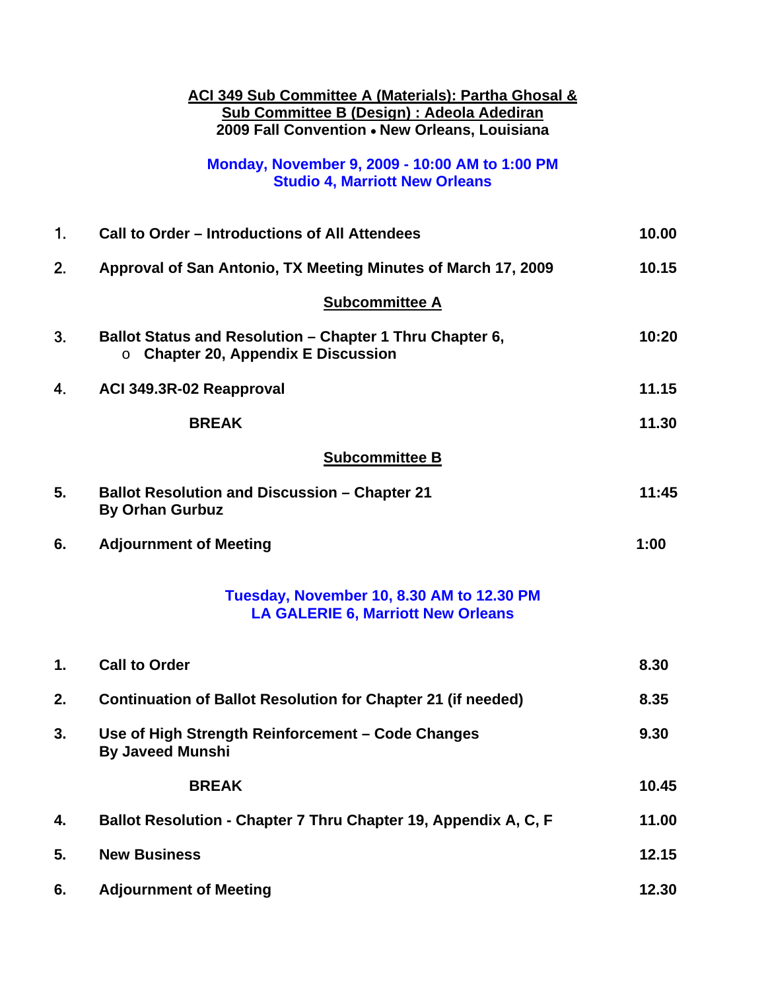|    | <b>ACI 349 Sub Committee A (Materials): Partha Ghosal &amp;</b><br><b>Sub Committee B (Design) : Adeola Adediran</b><br>2009 Fall Convention . New Orleans, Louisiana |       |
|----|-----------------------------------------------------------------------------------------------------------------------------------------------------------------------|-------|
|    | Monday, November 9, 2009 - 10:00 AM to 1:00 PM<br><b>Studio 4, Marriott New Orleans</b>                                                                               |       |
| 1. | Call to Order – Introductions of All Attendees                                                                                                                        | 10.00 |
| 2. | Approval of San Antonio, TX Meeting Minutes of March 17, 2009                                                                                                         | 10.15 |
|    | <b>Subcommittee A</b>                                                                                                                                                 |       |
| 3. | Ballot Status and Resolution - Chapter 1 Thru Chapter 6,<br><b>Chapter 20, Appendix E Discussion</b><br>$\circ$                                                       | 10:20 |
| 4. | ACI 349.3R-02 Reapproval                                                                                                                                              | 11.15 |
|    | <b>BREAK</b>                                                                                                                                                          | 11.30 |
|    | <b>Subcommittee B</b>                                                                                                                                                 |       |
| 5. | <b>Ballot Resolution and Discussion - Chapter 21</b><br><b>By Orhan Gurbuz</b>                                                                                        | 11:45 |
| 6. | <b>Adjournment of Meeting</b>                                                                                                                                         | 1:00  |
|    | Tuesday, November 10, 8.30 AM to 12.30 PM<br><b>LA GALERIE 6, Marriott New Orleans</b>                                                                                |       |
| 1. | <b>Call to Order</b>                                                                                                                                                  | 8.30  |
| 2. | <b>Continuation of Ballot Resolution for Chapter 21 (if needed)</b>                                                                                                   | 8.35  |
| 3. | Use of High Strength Reinforcement - Code Changes<br><b>By Javeed Munshi</b>                                                                                          | 9.30  |
|    | <b>BREAK</b>                                                                                                                                                          | 10.45 |
| 4. | Ballot Resolution - Chapter 7 Thru Chapter 19, Appendix A, C, F                                                                                                       | 11.00 |

| 5. | <b>New Business</b>           | 12.15 |
|----|-------------------------------|-------|
| 6. | <b>Adjournment of Meeting</b> | 12.30 |